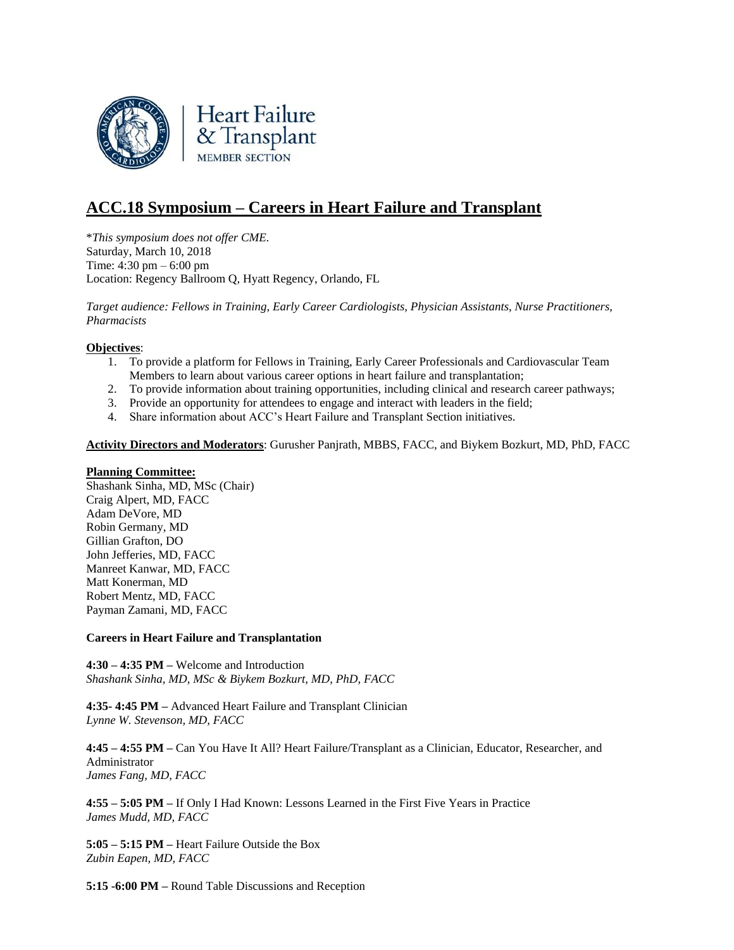

# **ACC.18 Symposium – Careers in Heart Failure and Transplant**

\**This symposium does not offer CME.* Saturday, March 10, 2018 Time: 4:30 pm – 6:00 pm Location: Regency Ballroom Q, Hyatt Regency, Orlando, FL

*Target audience: Fellows in Training, Early Career Cardiologists, Physician Assistants, Nurse Practitioners, Pharmacists*

# **Objectives**:

- 1. To provide a platform for Fellows in Training, Early Career Professionals and Cardiovascular Team Members to learn about various career options in heart failure and transplantation;
- 2. To provide information about training opportunities, including clinical and research career pathways;
- 3. Provide an opportunity for attendees to engage and interact with leaders in the field;
- 4. Share information about ACC's Heart Failure and Transplant Section initiatives.

**Activity Directors and Moderators**: Gurusher Panjrath, MBBS, FACC, and Biykem Bozkurt, MD, PhD, FACC

#### **Planning Committee:**

Shashank Sinha, MD, MSc (Chair) Craig Alpert, MD, FACC Adam DeVore, MD Robin Germany, MD Gillian Grafton, DO John Jefferies, MD, FACC Manreet Kanwar, MD, FACC Matt Konerman, MD Robert Mentz, MD, FACC Payman Zamani, MD, FACC

#### **Careers in Heart Failure and Transplantation**

**4:30 – 4:35 PM –** Welcome and Introduction *Shashank Sinha, MD, MSc & Biykem Bozkurt, MD, PhD, FACC*

**4:35- 4:45 PM –** Advanced Heart Failure and Transplant Clinician *Lynne W. Stevenson, MD, FACC*

**4:45 – 4:55 PM –** Can You Have It All? Heart Failure/Transplant as a Clinician, Educator, Researcher, and Administrator *James Fang, MD, FACC*

**4:55 – 5:05 PM –** If Only I Had Known: Lessons Learned in the First Five Years in Practice *James Mudd, MD, FACC*

**5:05 – 5:15 PM –** Heart Failure Outside the Box *Zubin Eapen, MD, FACC*

**5:15 -6:00 PM –** Round Table Discussions and Reception